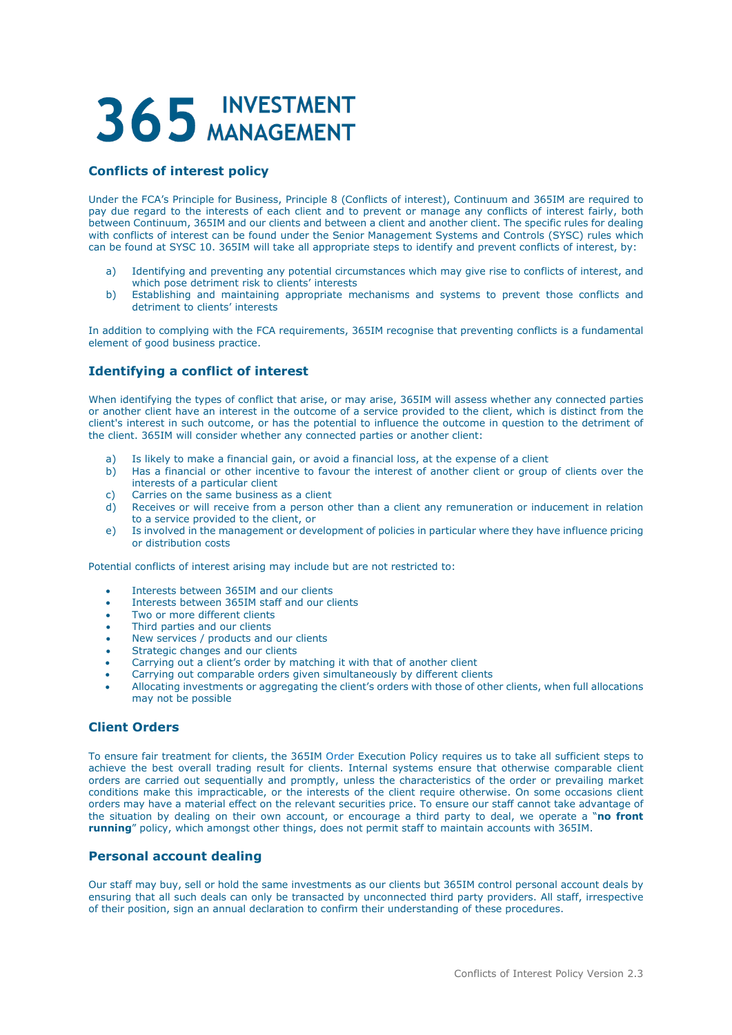# 365 INVESTMENT

## **Conflicts of interest policy**

Under the FCA's Principle for Business, Principle 8 (Conflicts of interest), Continuum and 365IM are required to pay due regard to the interests of each client and to prevent or manage any conflicts of interest fairly, both between Continuum, 365IM and our clients and between a client and another client. The specific rules for dealing with conflicts of interest can be found under the Senior Management Systems and Controls (SYSC) rules which can be found at SYSC 10. 365IM will take all appropriate steps to identify and prevent conflicts of interest, by:

- a) Identifying and preventing any potential circumstances which may give rise to conflicts of interest, and which pose detriment risk to clients' interests
- b) Establishing and maintaining appropriate mechanisms and systems to prevent those conflicts and detriment to clients' interests

In addition to complying with the FCA requirements, 365IM recognise that preventing conflicts is a fundamental element of good business practice.

## **Identifying a conflict of interest**

When identifying the types of conflict that arise, or may arise, 365IM will assess whether any connected parties or another client have an interest in the outcome of a service provided to the client, which is distinct from the client's interest in such outcome, or has the potential to influence the outcome in question to the detriment of the client. 365IM will consider whether any connected parties or another client:

- a) Is likely to make a financial gain, or avoid a financial loss, at the expense of a client
- b) Has a financial or other incentive to favour the interest of another client or group of clients over the interests of a particular client
- c) Carries on the same business as a client
- d) Receives or will receive from a person other than a client any remuneration or inducement in relation to a service provided to the client, or
- e) Is involved in the management or development of policies in particular where they have influence pricing or distribution costs

Potential conflicts of interest arising may include but are not restricted to:

- Interests between 365IM and our clients
- Interests between 365IM staff and our clients
- Two or more different clients
- Third parties and our clients
- New services / products and our clients
- Strategic changes and our clients
- Carrying out a client's order by matching it with that of another client
- Carrying out comparable orders given simultaneously by different clients
- Allocating investments or aggregating the client's orders with those of other clients, when full allocations may not be possible

#### **Client Orders**

To ensure fair treatment for clients, the 365IM Order Execution Policy requires us to take all sufficient steps to achieve the best overall trading result for clients. Internal systems ensure that otherwise comparable client orders are carried out sequentially and promptly, unless the characteristics of the order or prevailing market conditions make this impracticable, or the interests of the client require otherwise. On some occasions client orders may have a material effect on the relevant securities price. To ensure our staff cannot take advantage of the situation by dealing on their own account, or encourage a third party to deal, we operate a "**no front running**" policy, which amongst other things, does not permit staff to maintain accounts with 365IM.

#### **Personal account dealing**

Our staff may buy, sell or hold the same investments as our clients but 365IM control personal account deals by ensuring that all such deals can only be transacted by unconnected third party providers. All staff, irrespective of their position, sign an annual declaration to confirm their understanding of these procedures.